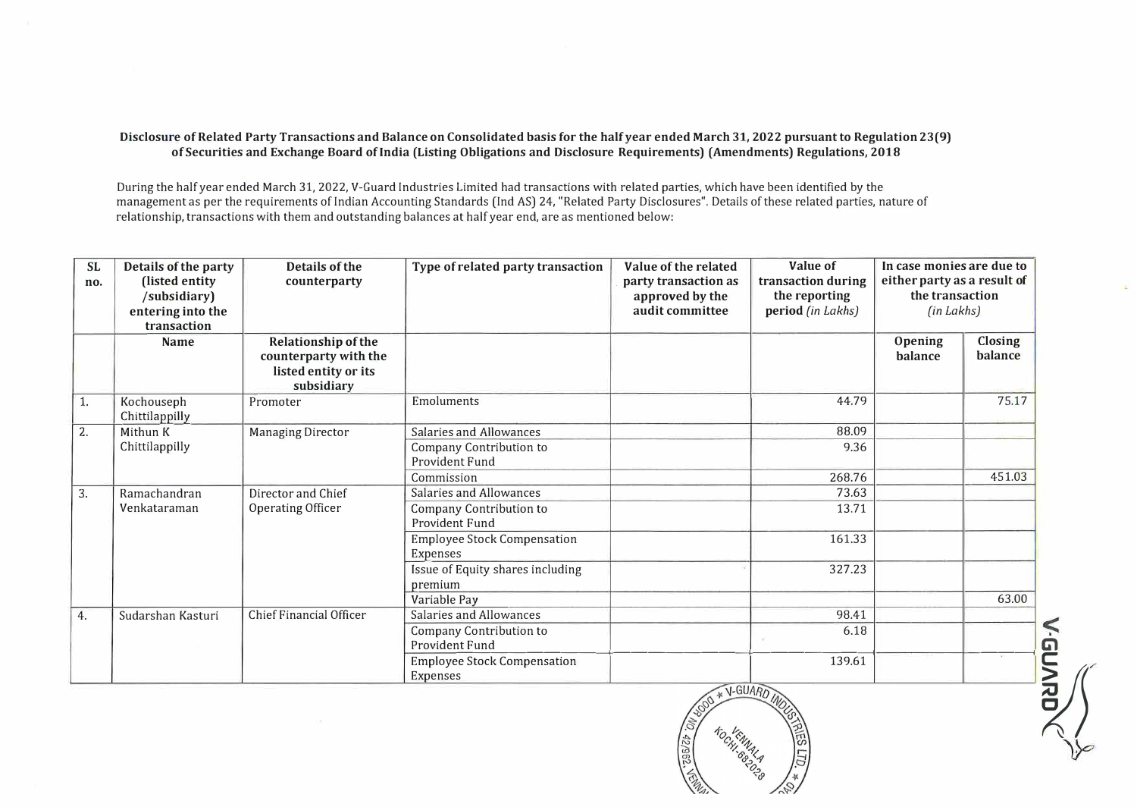## **Disclosure of Related Party Transactions and Balance on Consolidated basis for the half year ended March 31, 2022 pursuant to Regulation 23(9) of Securities and Exchange Board of India (Listing Obligations and Disclosure Requirements) (Amendments) Regulations, 2018**

During the half year ended March 31, 2022, V-Guard Industries Limited had transactions with related parties, which have been identified by the management as per the requirements of Indian Accounting Standards (Ind AS) 24, "Related Party Disclosures". Details of these related parties, nature of relationship, transactions with them and outstanding balances at half year end, are as mentioned below:

| <b>SL</b><br>no. | Details of the party<br>(listed entity<br>/subsidiary)<br>entering into the<br>transaction | Details of the<br>counterparty                                                            | Type of related party transaction                                           | Value of the related<br>party transaction as<br>approved by the<br>audit committee | <b>Value of</b><br>transaction during<br>the reporting<br>period (in Lakhs) | In case monies are due to<br>either party as a result of<br>the transaction<br>(in Lakhs) |                    |
|------------------|--------------------------------------------------------------------------------------------|-------------------------------------------------------------------------------------------|-----------------------------------------------------------------------------|------------------------------------------------------------------------------------|-----------------------------------------------------------------------------|-------------------------------------------------------------------------------------------|--------------------|
|                  | <b>Name</b>                                                                                | <b>Relationship of the</b><br>counterparty with the<br>listed entity or its<br>subsidiary |                                                                             |                                                                                    |                                                                             | Opening<br>balance                                                                        | Closing<br>balance |
| 1.               | Kochouseph<br>Chittilappilly                                                               | Promoter                                                                                  | Emoluments                                                                  |                                                                                    | 44.79                                                                       |                                                                                           | 75.17              |
| 2.               | Mithun K<br>Chittilappilly                                                                 | <b>Managing Director</b>                                                                  | Salaries and Allowances<br>Company Contribution to<br>Provident Fund        |                                                                                    | 88.09<br>9.36                                                               |                                                                                           |                    |
|                  |                                                                                            |                                                                                           | Commission                                                                  |                                                                                    | 268.76                                                                      |                                                                                           | 451.03             |
| 3.               | Ramachandran<br>Venkataraman                                                               | Director and Chief<br>Operating Officer                                                   | <b>Salaries and Allowances</b><br>Company Contribution to<br>Provident Fund |                                                                                    | 73.63<br>13.71                                                              |                                                                                           |                    |
|                  |                                                                                            |                                                                                           | <b>Employee Stock Compensation</b><br>Expenses                              |                                                                                    | 161.33                                                                      |                                                                                           |                    |
|                  |                                                                                            |                                                                                           | Issue of Equity shares including<br>premium                                 |                                                                                    | 327.23                                                                      |                                                                                           |                    |
|                  |                                                                                            |                                                                                           | Variable Pay                                                                |                                                                                    |                                                                             |                                                                                           | 63.00              |
| 4.               | Sudarshan Kasturi                                                                          | <b>Chief Financial Officer</b>                                                            | Salaries and Allowances<br>Company Contribution to<br>Provident Fund        |                                                                                    | 98.41<br>6.18                                                               |                                                                                           |                    |
|                  |                                                                                            |                                                                                           | <b>Employee Stock Compensation</b><br>Expenses                              |                                                                                    | 139.61                                                                      |                                                                                           |                    |
|                  |                                                                                            |                                                                                           |                                                                             | VOO * V-GUARD IN<br>42/962                                                         | <b>RES LTD.</b>                                                             |                                                                                           |                    |